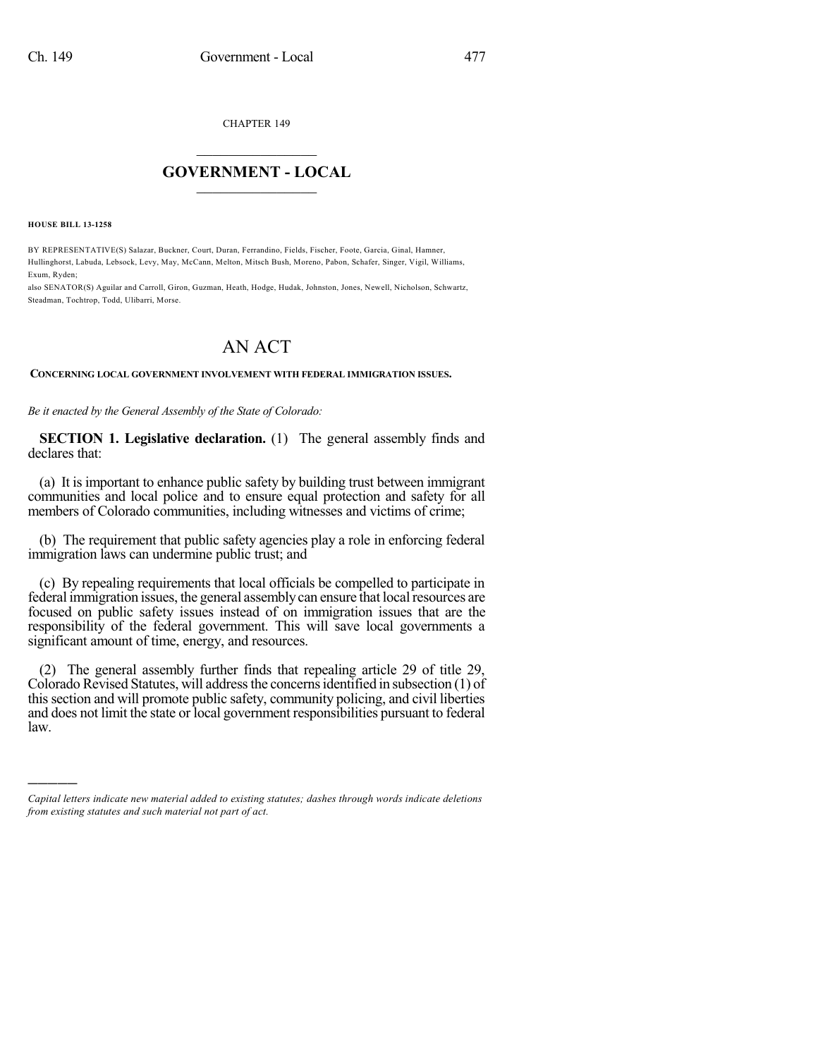CHAPTER 149

## $\mathcal{L}_\text{max}$  . The set of the set of the set of the set of the set of the set of the set of the set of the set of the set of the set of the set of the set of the set of the set of the set of the set of the set of the set **GOVERNMENT - LOCAL**  $\_$

**HOUSE BILL 13-1258**

)))))

BY REPRESENTATIVE(S) Salazar, Buckner, Court, Duran, Ferrandino, Fields, Fischer, Foote, Garcia, Ginal, Hamner, Hullinghorst, Labuda, Lebsock, Levy, May, McCann, Melton, Mitsch Bush, Moreno, Pabon, Schafer, Singer, Vigil, Williams, Exum, Ryden;

also SENATOR(S) Aguilar and Carroll, Giron, Guzman, Heath, Hodge, Hudak, Johnston, Jones, Newell, Nicholson, Schwartz, Steadman, Tochtrop, Todd, Ulibarri, Morse.

## AN ACT

**CONCERNING LOCAL GOVERNMENT INVOLVEMENT WITH FEDERAL IMMIGRATION ISSUES.**

*Be it enacted by the General Assembly of the State of Colorado:*

**SECTION 1. Legislative declaration.** (1) The general assembly finds and declares that:

(a) It is important to enhance public safety by building trust between immigrant communities and local police and to ensure equal protection and safety for all members of Colorado communities, including witnesses and victims of crime;

(b) The requirement that public safety agencies play a role in enforcing federal immigration laws can undermine public trust; and

(c) By repealing requirements that local officials be compelled to participate in federal immigration issues, the general assembly can ensure that local resources are focused on public safety issues instead of on immigration issues that are the responsibility of the federal government. This will save local governments a significant amount of time, energy, and resources.

(2) The general assembly further finds that repealing article 29 of title 29, Colorado Revised Statutes, will address the concerns identified in subsection (1) of thissection and will promote public safety, community policing, and civil liberties and does not limit the state or local government responsibilities pursuant to federal law.

*Capital letters indicate new material added to existing statutes; dashes through words indicate deletions from existing statutes and such material not part of act.*